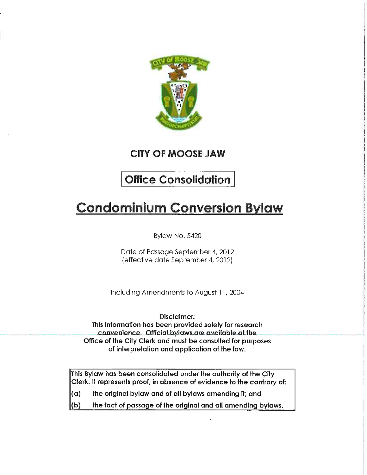

CITY OF MOOSE JAW

## Office Consolidation

# Condominium Conversion Bylaw

Bylaw No. 5420

Date of Passage September 4, 2012 (effective date September 4, 2012)

Including Amendments to August 1 1, 2004

Disclaimer: This information has been provided solely for research convenience. Official bylaws are available at the Office of the City Clerk and must be consulted for purposes of interpretation and application of the law.

This Bylaw has been consolidated under the authority of the City Clerk. It represents proof, in absence of evidence to the contrary of:

- $\alpha$  the original bylaw and of all bylaws amending it; and
- $\|$ (b) the fact of passage of the original and all amending bylaws.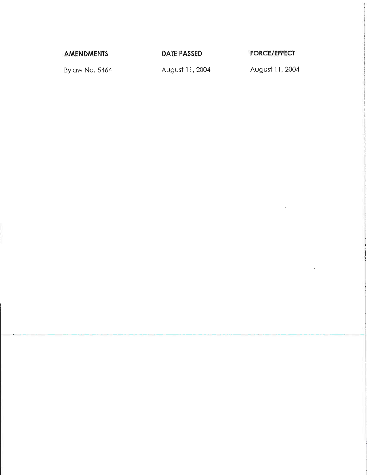AMENDMENTS DATE PASSED FORCE/EFFECT

Bylaw No. 5464 **August 11, 2004** August 11, 2004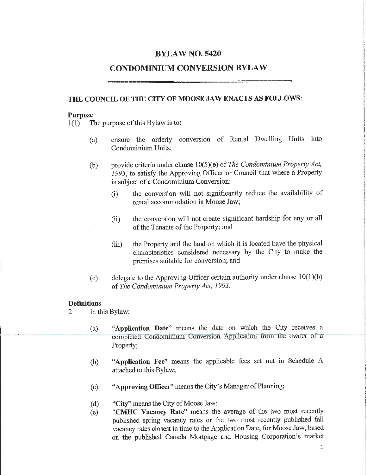## BYLAW NO. 5420

## CONDOMINIUM CONVERSION BYLAW

## THE COUNCIL OF THE CITY OF MOOSE JAW ENACTS AS FOLLOWS:

#### Purpose

1(1) The purpose of this Bylaw is to:

- (a) ensure the orderly conversion of Rental Dwelling Units into Condominium Units;
- (b) provide criteria under clause  $10(5)$ (e) of The Condominium Property Act, 1993, to satisfy the Approving Officer or Council that where a Property is subject of a Condominium Conversion:
	- (i) the conversion will not significantly reduce the availability of rental accommodation in Moose Jaw;
	- (ii) the conversion will not create significant hardship for any or all of the Tenants of the Property; and
	- (iii) the Property and the land on which it is located have the physical characteristics considered necessary by the City to make the premises suitable for conversion; and
- (c) delegate to the Approving Officer certain authority under clause  $10(1)(b)$ of The Condominium Property Act, 1993.

#### **Definitions**

- 2 In this Bylaw:
	- (a) "Application Date" means the date on which the City receives a completed Condominium Conversion Application from the owner of a Property;
	- (b) Application Fee" means the applicable fees set out in Schedule A attached to this Bylaw;
	- (c) "Approving Officer" means the City's Manager of Planning;
	- (d) "City" means the City of Moose Jaw;
	- (e) "CMHC Vacancy Rate" means the average of the two most recently published spring vacancy rates or the two most recently published fall vacancy rates closest in time to the Application Date, for Moose Jaw, based on the published Canada Mortgage and Housing Corporation's market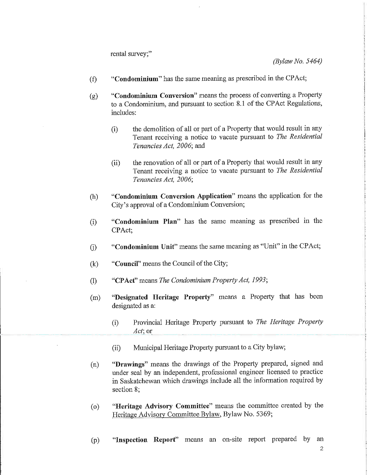rental survey,"

(Bylaw No. 5464)

- $(f)$  "Condominium" has the same meaning as prescribed in the CPAct;
- $(g)$  "Condominium Conversion" means the process of converting a Property to a Condominium, and pursuant to section 8.1 of the CPAct Regulations, includes:
	- (i) the demolition of all or part of a Property that would result in any Tenant receiving a notice to vacate pursuant to The Residential Tenancies Act, 2006; and
	- (ii) the renovation of all or part of a Property that would result in any Tenant receiving a notice to vacate pursuant to The Residential Tenancies Act, 2006;
- (h) "Condominium Conversion Application" means the application for the City s approval of a Condominium Conversion;
- (i) "Condominium Plan" has the same meaning as prescribed in the CPAct;
- (j) "Condominium Unit" means the same meaning as "Unit" in the CPAct;
- (k) "Council" means the Council of the City;
- (1) CPAct" means The Condominium Property Act, 1993',
- (m) "Designated Heritage Property" means a Property that has been designated as a:
	- (i) Provincial Heritage Property pursuant to The Heritage Property Act; or
	- (ii) Municipal Heritage Property pursuant to a City bylaw;
- (n) "Drawings" means the drawings of the Property prepared, signed and under seal by an independent, professional engineer licensed to practice in Saskatchewan which drawings include all the information required by section 8;
- (o) "Heritage Advisory Committee" means the committee created by the Heritage Advisory Committee Bylaw, Bylaw No. 5369;
- (p) "Inspection Report" means an on-site report prepared by an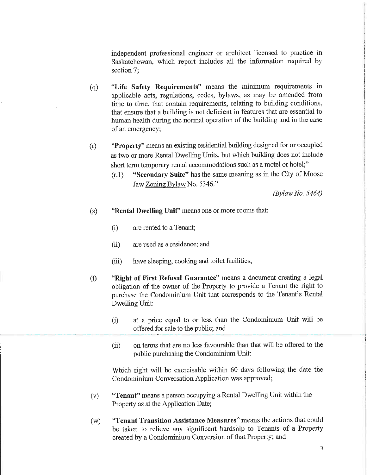independent professional engineer or architect licensed to practice in Saskatchewan, which report includes all the information required by section 7;

- (q) "Life Safety Requirements" means the minimum requirements in applicable acts, regulations, codes, bylaws, as may be amended from time to time, that contain requirements, relating to building conditions, that ensure that a building is not deficient in features that are essential to human health during the normal operation of the building and in the case of an emergency;
- (r) "Property" means an existing residential building designed for or occupied as two or more Rental Dwelling Units, but which building does not include short term temporary rental accommodations such as a motel or hotel;"
	- (r.l) "Secondary Suite" has the same meaning as in the City of Moose Jaw Zoning Bylaw No. 5346."

(Bylaw No. 5464)

- (s) "Rental Dwelling Unit" means one or more rooms that:
	- (i) are rented to a Tenant;
	- (ii) are used as a residence; and
	- (iii) have sleeping, cooking and toilet facilities;
- (t) "Right of First Refusal Guarantee" means a document creating a legal obligation of the owner of the Property to provide a Tenant the right to purchase the Condominium Unit that corresponds to the Tenant's Rental Dwelling Unit:
	- (i) at a price equal to or less than the Condominium Unit will be offered for sale to the public; and
	- (ii) on terms that are no less favourable than that will be offered to the public purchasing the Condominium Unit;

Which right will be exercisable within 60 days following the date the Condominium Conversation Application was approved;

- (v) "Tenant" means a person occupying a Rental Dwelling Unit within the Property as at the Application Date;
- (w) "Tenant Transition Assistance Measures" means the actions that could be taken to relieve any significant hardship to Tenants of a Property created by a Condominium Conversion of that Property; and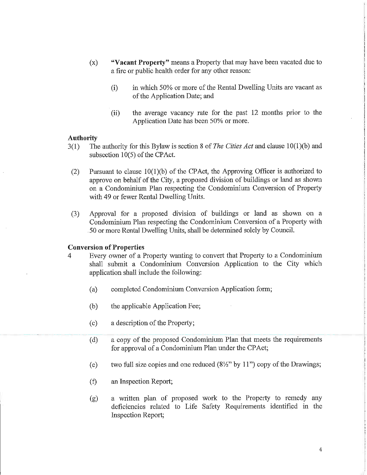- (x) "Vacant Property" means a Property that may have been vacated due to a fire or public health order for any other reason:
	- (i) in which 50% or more of the Rental Dwelling Units are vacant as of the Application Date; and
	- (ii) the average vacancy rate for the past 12 months prior to the Application Date has been 50% or more.

#### Authority

- 3(1) The authority for this Bylaw is section 8 of The Cities Act and clause 10(1)(b) and subsection 10(5) of the CPAct.
	- (2) Pursuant to clause  $10(1)(b)$  of the CPAct, the Approving Officer is authorized to approve on behalf of the City, a proposed division of buildings or land as shown on a Condominium Plan respecting the Condominium Conversion of Property with 49 or fewer Rental Dwelling Units.
	- (3) Approval for a proposed division of buildings or land as shown on a Condominium Plan respecting the Condominium Conversion of a Property with 50 or more Rental Dwelling Units, shall be determined solely by Council.

#### Conversion of Properties

- 4 Every owner of a Property wanting to convert that Property to a Condominium shall submit a Condominium Conversion Application to the City which application shall include the following:
	- (a) completed Condominium Conversion Application form;
	- (b) the applicable Application Fee;
	- (c) a description of the Property;
	- (d) a copy of the proposed Condominium Plan that meets the requirements for approval of a Condominium Plan under the CPAct;
	- (e) two full size copies and one reduced  $(8\frac{1}{2}$ " by 11") copy of the Drawings;
	- (f) an Inspection Report;
	- (g) a written plan of proposed work to the Property to remedy any deficiencies related to Life Safety Requirements identified in the Inspection Report;

4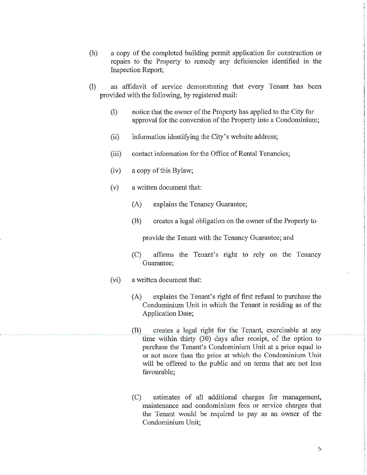- (h) a copy of the completed building permit application for construction or repairs to the Property to remedy any deficiencies identified in the Inspection Report;
- (1) an affidavit of service demonstrating that every Tenant has been provided with the following, by registered mail:
	- (1) notice that the owner of the Property has applied to the City for approval for the conversion of the Property into a Condominium;
	- (ii) information identifying the City's website address;
	- (iii) contact information for the Office of Rental Tenancies;
	- (iv) a copy of this Bylaw;
	- (v) a written document that:
		- (A) explains the Tenancy Guarantee;
		- (B) creates a legal obligation on the owner of the Property to
			- provide the Tenant with the Tenancy Guarantee; and
		- (C) affirms the Tenant's right to rely on the Tenancy Guarantee;
	- (vi) a written document that:
		- (A) explains the Tenant's right of first refusal to purchase the Condominium Unit in which the Tenant is residing as of the Application Date;
		- (B) creates a legal right for the Tenant, exercisable at any time within thirty (30) days after receipt, of the option to purchase the Tenant's Condominium Unit at a price equal to or not more than the price at which the Condominium Unit will be offered to the public and on terms that are not less favourable;
		- (C) estimates of all additional charges for management, maintenance and condominium fees or service charges that the Tenant would be required to pay as an owner of the Condominium Unit;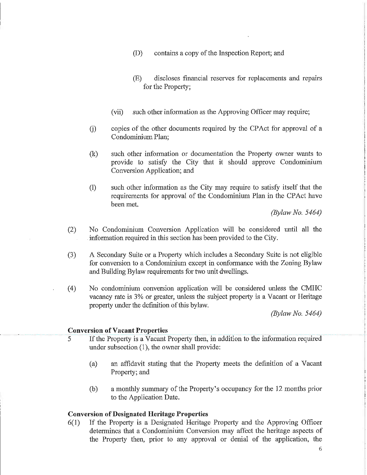- (D) contains a copy of the Inspection Report; and
- (E) discloses financial reserves for replacements and repairs for the Property;
- (vii) such other information as the Approving Officer may require;
- (i) copies of the other documents required by the CPAct for approval of a Condominium Plan;
- (k) such other information or documentation the Property owner wants to provide to satisfy the City that it should approve Condominium Conversion Application; and
- (1) such other information as the City may require to satisfy itself that the requirements for approval of the Condominium Plan in the CPAct have been met.

(Bylaw No. 5464)

- (2) No Condominium Conversion Application will be considered until all the information required in this section has been provided to the City.
- (3) A Secondary Suite or a Property which includes a Secondary Suite is not eligible for conversion to a Condominium except in conformance with the Zoning Bylaw and Building Bylaw requirements for two unit dwellings.
- (4) No condominium conversion application will be considered unless the CMHC vacancy rate is 3% or greater, unless the subject property is a Vacant or Heritage property under the definition of this bylaw.

(Bylaw No. 5464)

#### Conversion of Vacant Properties

- 5 If the Property is a Vacant Property then, in addition to the information required under subsection (1), the owner shall provide:
	- (a) an affidavit stating that the Property meets the definition of a Vacant Property; and
	- (b) a monthly summary of the Property's occupancy for the 12 months prior to the Application Date.

#### Conversion of Designated Heritage Properties

6(1) If the Property is a Designated Heritage Property and the Approving Officer determines that a Condominium Conversion may affect the heritage aspects of the Property then, prior to any approval or denial of the application, the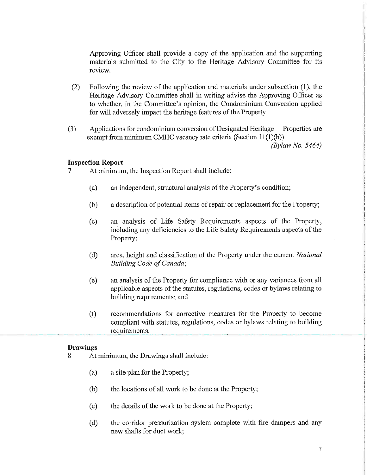Approving Officer shall provide a copy of the application and the supporting materials submitted to the City to the Heritage Advisory Committee for its review.

- (2) Following the review of the application and materials under subsection (1), the Heritage Advisory Committee shall in writing advise the Approving Officer as to whether, in the Committee's opinion, the Condominium Conversion applied for will adversely impact the heritage features of the Property.
- (3) Applications for condominium conversion of Designated Heritage Properties are exempt from minimum CMHC vacancy rate criteria (Section  $11(1)(b)$ ) (Bylaw No. 5464)

#### Inspection Report

- 7 At minimum, the Inspection Report shall include:
	- (a) an independent, structural analysis of the Property's condition;
	- (b) a description of potential items of repair or replacement for the Property;
	- (c) an analysis of Life Safety Requirements aspects of the Property, including any deficiencies to the Life Safety Requirements aspects of the Property;
	- (d) area, height and classification of the Property under the current National Building Code of Canada;
	- (e) an analysis of the Property for compliance with or any variances from all applicable aspects of the statutes, regulations, codes or bylaws relating to building requirements; and
	- (f) recommendations for corrective measures for the Property to become compliant with statutes, regulations, codes or bylaws relating to building requirements.

#### Drawings

- 8 At minimum, the Drawings shall include:
	- (a) a site plan for the Property;
	- (b) the locations of all work to be done at the Property;
	- (c) the details of the work to be done at the Property;
	- (d) the corridor pressurization system complete with fire dampers and any new shafts for duct work;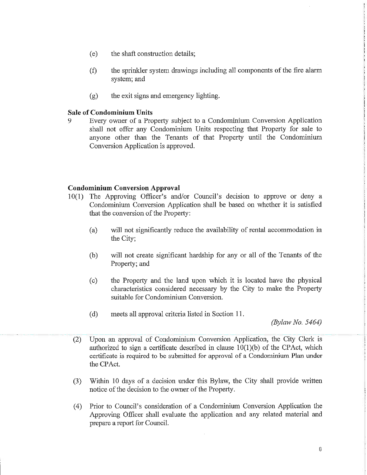- (e) the shaft construction details;
- (f) the sprinkler system drawings including all components of the fire alarm system; and
- (g) the exit signs and emergency lighting.

#### Sale of Condominium Units

9 Every owner of a Property subject to a Condominium Conversion Application shall not offer any Condominium Units respecting that Property for sale to anyone other than the Tenants of that Property until the Condominium Conversion Application is approved.

#### Condominium Conversion Approval

- 10(1) The Approving Officer's and/or Council's decision to approve or deny a Condominium Conversion Application shall be based on whether it is satisfied that the conversion of the Property:
	- (a) will not significantly reduce the availability of rental accommodation in the City;
	- (b) will not create significant hardship for any or all of the Tenants of the Property; and
	- (c) the Property and the land upon which it is located have the physical characteristics considered necessary by the City to make the Property suitable for Condominium Conversion.
	- (d) meets all approval criteria listed in Section 11 .

(Bylaw No. 5464)

- (2) Upon an approval of Condominium Conversion Application, the City Clerk is authorized to sign a certificate described in clause  $10(1)(b)$  of the CPAct, which certificate is required to be submitted for approval of a Condominium Plan under the CPAct.
- (3) Within 10 days of a decision under this Bylaw, the City shall provide written notice of the decision to the owner of the Property.
- (4) Prior to Council's consideration of a Condominium Conversion Application the Approving Officer shall evaluate the application and any related material and prepare a report for Council.

 $\, 8$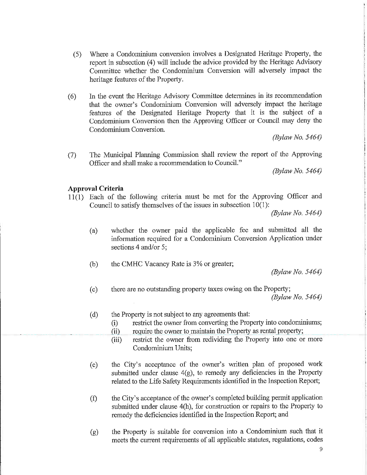- (5) Where a Condominium conversion involves a Designated Heritage Property, the report in subsection (4) will include the advice provided by the Heritage Advisory Committee whether the Condominium Conversion will adversely impact the heritage features of the Property.
- (6) In the event the Heritage Advisory Committee determines in its recommendation that the owner's Condominium Conversion will adversely impact the heritage features of the Designated Heritage Property that it is the subject of a Condominium Conversion then the Approving Officer or Council may deny the Condominium Conversion.

(Bylaw No. 5464)

(7) The Municipal Planning Commission shall review the report of the Approving Officer and shall make a recommendation to Council."

(Bylaw No. 5464)

#### Approval Criteria

11(1) Each of the following criteria must be met for the Approving Officer and Council to satisfy themselves of the issues in subsection 10(1):

(Bylaw No. 5464)

- (a) whether the owner paid the applicable fee and submitted all the information required for a Condominium Conversion Application under sections 4 and/or 5;
- $(b)$  the CMHC Vacancy Rate is  $3%$  or greater;

(Bylaw No. 5464)

- (c) there are no outstanding property taxes owing on the Property; (Bylaw No. 5464)
- (d) the Property is not subject to any agreements that:
	- (i) restrict the owner from converting the Property into condominiums;
	- (ii) require the owner to maintain the Property as rental property;
	- (iii) restrict the owner from redividing the Property into one or more Condominium Units;
- (e) the City's acceptance of the owner's written plan of proposed work submitted under clause  $4(g)$ , to remedy any deficiencies in the Property related to the Life Safety Requirements identified in the Inspection Report;
- (f) the City's acceptance of the owner's completed building permit application submitted under clause 4(h), for construction or repairs to the Property to remedy the deficiencies identified in the Inspection Report; and
- (g) the Property is suitable for conversion into a Condominium such that it meets the current requirements of all applicable statutes, regulations, codes

9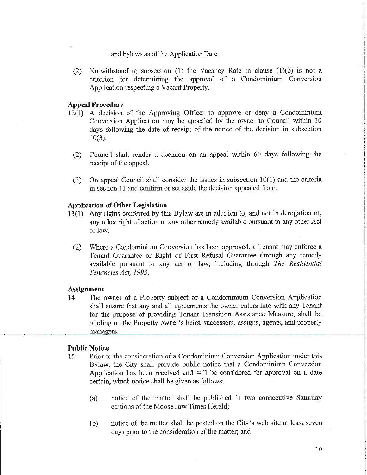and bylaws as of the Application Date.

(2) Notwithstanding subsection (1) the Vacancy Rate in clause (l)(b) is not a criterion for determining the approval of a Condominium Conversion Application respecting a Vacant Property.

#### Appeal Procedure

- 12(1) A decision of the Approving Officer to approve or deny a Condominium Conversion Application may be appealed by the owner to Council within 30 days following the date of receipt of the notice of the decision in subsection 10(3).
	- (2) Council shall render a decision on an appeal within 60 days following the receipt of the appeal.
	- (3) On appeal Council shall consider the issues in subsection 10(1) and the criteria in section 11 and confirm or set aside the decision appealed from.

#### Application of Other Legislation

- 13(1) Any rights conferred by this Bylaw are in addition to, and not in derogation of, any other right of action or any other remedy available pursuant to any other Act or law.
	- (2) Where a Condominium Conversion has been approved, a Tenant may enforce a Tenant Guarantee or Right of First Refusal Guarantee through any remedy available pursuant to any act or law, including through The Residential Tenancies Act, 1993.

#### Assignment

14 The owner of a Property subject of a Condominium Conversion Application shall ensure that any and all agreements the owner enters into with any Tenant for the purpose of providing Tenant Transition Assistance Measure, shall be binding on the Property owner's heirs, successors, assigns, agents, and property managers.

#### Public Notice

- 15 Prior to the consideration of a Condominium Conversion Application under this Bylaw, the City shall provide public notice that a Condominium Conversion Application has been received and will be considered for approval on a date certain, which notice shall be given as follows:
	- (a) notice of the matter shall be published in two consecutive Saturday editions of the Moose Jaw Times Herald;
	- (b) notice of the matter shall be posted on the City's web site at least seven days prior to the consideration of the matter; and

10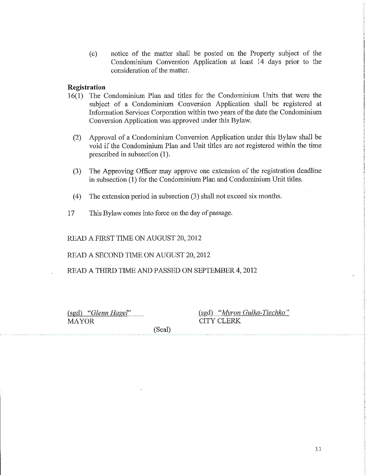(c) notice of the matter shall be posted on the Property subject of the Condominium Conversion Application at least 14 days prior to the consideration of the matter.

#### Registration

- 16(1) The Condominium Plan and titles for the Condominium Units that were the subject of a Condominium Conversion Application shall be registered at Information Services Corporation within two years of the date the Condominium Conversion Application was approved under this Bylaw.
	- (2) Approval of a Condominium Conversion Application under this Bylaw shall be void if the Condominium Plan and Unit titles are not registered within the time prescribed in subsection (1).
	- (3) The Approving Officer may approve one extension of the registration deadline in subsection (1) for the Condominium Plan and Condominium Unit titles.
	- (4) The extension period in subsection (3) shall not exceed six months.
- 17 This Bylaw comes into force on the day of passage.

READ A FIRST TIME ON AUGUST 20,2012

READ A SECOND TIME ON AUGUST 20, 2012

READ A THIRD TIME AND PASSED ON SEPTEMBER 4, 2012

(sgd) "Glenn Hagel" MAYOR

(sgd) "Myron Gulka-Tiechko" CITY CLERK

(Seal)